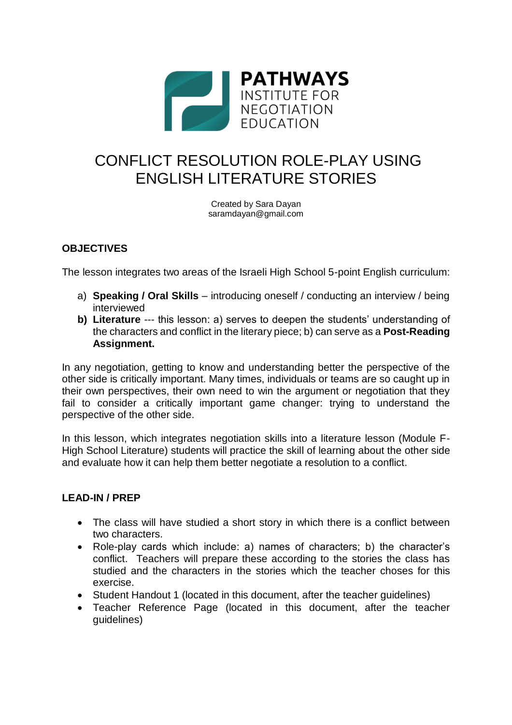

# CONFLICT RESOLUTION ROLE-PLAY USING ENGLISH LITERATURE STORIES

Created by Sara Dayan saramdayan@gmail.com

# **OBJECTIVES**

The lesson integrates two areas of the Israeli High School 5-point English curriculum:

- a) **Speaking / Oral Skills** introducing oneself / conducting an interview / being interviewed
- **b) Literature** --- this lesson: a) serves to deepen the students' understanding of the characters and conflict in the literary piece; b) can serve as a **Post-Reading Assignment.**

In any negotiation, getting to know and understanding better the perspective of the other side is critically important. Many times, individuals or teams are so caught up in their own perspectives, their own need to win the argument or negotiation that they fail to consider a critically important game changer: trying to understand the perspective of the other side.

In this lesson, which integrates negotiation skills into a literature lesson (Module F-High School Literature) students will practice the skill of learning about the other side and evaluate how it can help them better negotiate a resolution to a conflict.

#### **LEAD-IN / PREP**

- The class will have studied a short story in which there is a conflict between two characters.
- Role-play cards which include: a) names of characters; b) the character's conflict. Teachers will prepare these according to the stories the class has studied and the characters in the stories which the teacher choses for this exercise.
- Student Handout 1 (located in this document, after the teacher guidelines)
- Teacher Reference Page (located in this document, after the teacher guidelines)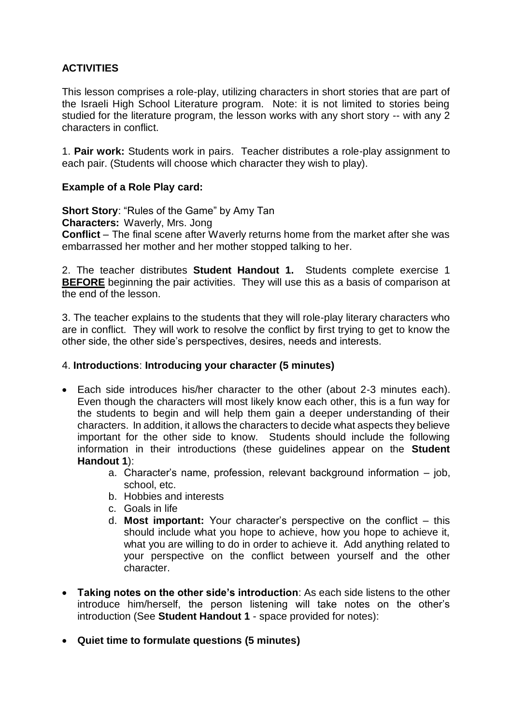## **ACTIVITIES**

This lesson comprises a role-play, utilizing characters in short stories that are part of the Israeli High School Literature program. Note: it is not limited to stories being studied for the literature program, the lesson works with any short story -- with any 2 characters in conflict.

1. **Pair work:** Students work in pairs. Teacher distributes a role-play assignment to each pair. (Students will choose which character they wish to play).

#### **Example of a Role Play card:**

**Short Story**: "Rules of the Game" by Amy Tan

**Characters:** Waverly, Mrs. Jong

**Conflict** – The final scene after Waverly returns home from the market after she was embarrassed her mother and her mother stopped talking to her.

2. The teacher distributes **Student Handout 1.** Students complete exercise 1 **BEFORE** beginning the pair activities. They will use this as a basis of comparison at the end of the lesson.

3. The teacher explains to the students that they will role-play literary characters who are in conflict. They will work to resolve the conflict by first trying to get to know the other side, the other side's perspectives, desires, needs and interests.

#### 4. **Introductions**: **Introducing your character (5 minutes)**

- Each side introduces his/her character to the other (about 2-3 minutes each). Even though the characters will most likely know each other, this is a fun way for the students to begin and will help them gain a deeper understanding of their characters. In addition, it allows the characters to decide what aspects they believe important for the other side to know. Students should include the following information in their introductions (these guidelines appear on the **Student Handout 1**):
	- a. Character's name, profession, relevant background information job, school, etc.
	- b. Hobbies and interests
	- c. Goals in life
	- d. **Most important:** Your character's perspective on the conflict this should include what you hope to achieve, how you hope to achieve it, what you are willing to do in order to achieve it. Add anything related to your perspective on the conflict between yourself and the other character.
- **Taking notes on the other side's introduction**: As each side listens to the other introduce him/herself, the person listening will take notes on the other's introduction (See **Student Handout 1** - space provided for notes):
- **Quiet time to formulate questions (5 minutes)**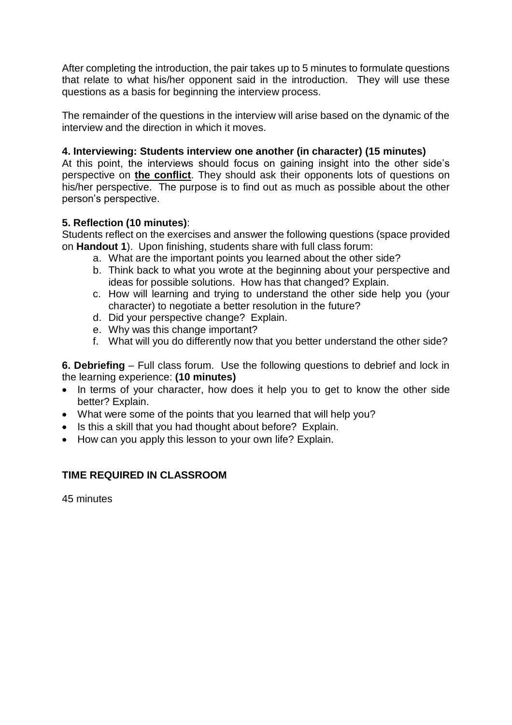After completing the introduction, the pair takes up to 5 minutes to formulate questions that relate to what his/her opponent said in the introduction. They will use these questions as a basis for beginning the interview process.

The remainder of the questions in the interview will arise based on the dynamic of the interview and the direction in which it moves.

### **4. Interviewing: Students interview one another (in character) (15 minutes)**

At this point, the interviews should focus on gaining insight into the other side's perspective on **the conflict**. They should ask their opponents lots of questions on his/her perspective. The purpose is to find out as much as possible about the other person's perspective.

### **5. Reflection (10 minutes)**:

Students reflect on the exercises and answer the following questions (space provided on **Handout 1**). Upon finishing, students share with full class forum:

- a. What are the important points you learned about the other side?
- b. Think back to what you wrote at the beginning about your perspective and ideas for possible solutions. How has that changed? Explain.
- c. How will learning and trying to understand the other side help you (your character) to negotiate a better resolution in the future?
- d. Did your perspective change? Explain.
- e. Why was this change important?
- f. What will you do differently now that you better understand the other side?

**6. Debriefing** – Full class forum. Use the following questions to debrief and lock in the learning experience: **(10 minutes)**

- In terms of your character, how does it help you to get to know the other side better? Explain.
- What were some of the points that you learned that will help you?
- Is this a skill that you had thought about before? Explain.
- How can you apply this lesson to your own life? Explain.

### **TIME REQUIRED IN CLASSROOM**

45 minutes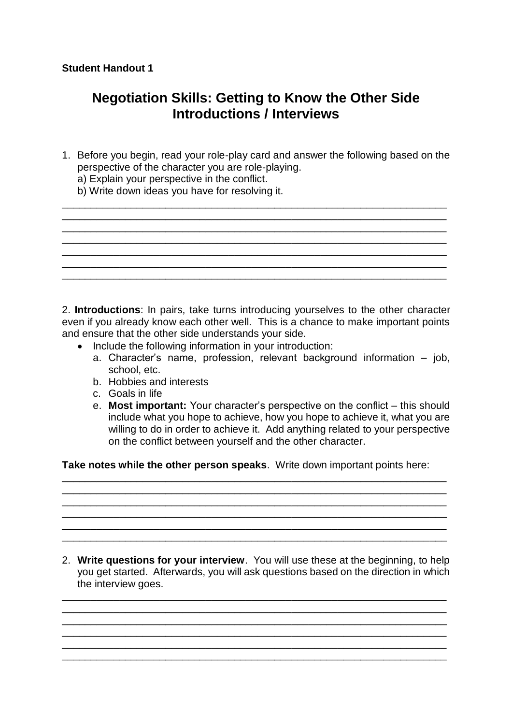# **Negotiation Skills: Getting to Know the Other Side Introductions / Interviews**

1. Before you begin, read your role-play card and answer the following based on the perspective of the character you are role-playing.

\_\_\_\_\_\_\_\_\_\_\_\_\_\_\_\_\_\_\_\_\_\_\_\_\_\_\_\_\_\_\_\_\_\_\_\_\_\_\_\_\_\_\_\_\_\_\_\_\_\_\_\_\_\_\_\_\_\_\_\_\_\_\_\_\_\_\_  $\mathcal{L}_\mathcal{L} = \mathcal{L}_\mathcal{L} = \mathcal{L}_\mathcal{L} = \mathcal{L}_\mathcal{L} = \mathcal{L}_\mathcal{L} = \mathcal{L}_\mathcal{L} = \mathcal{L}_\mathcal{L} = \mathcal{L}_\mathcal{L} = \mathcal{L}_\mathcal{L} = \mathcal{L}_\mathcal{L} = \mathcal{L}_\mathcal{L} = \mathcal{L}_\mathcal{L} = \mathcal{L}_\mathcal{L} = \mathcal{L}_\mathcal{L} = \mathcal{L}_\mathcal{L} = \mathcal{L}_\mathcal{L} = \mathcal{L}_\mathcal{L}$ \_\_\_\_\_\_\_\_\_\_\_\_\_\_\_\_\_\_\_\_\_\_\_\_\_\_\_\_\_\_\_\_\_\_\_\_\_\_\_\_\_\_\_\_\_\_\_\_\_\_\_\_\_\_\_\_\_\_\_\_\_\_\_\_\_\_\_

\_\_\_\_\_\_\_\_\_\_\_\_\_\_\_\_\_\_\_\_\_\_\_\_\_\_\_\_\_\_\_\_\_\_\_\_\_\_\_\_\_\_\_\_\_\_\_\_\_\_\_\_\_\_\_\_\_\_\_\_\_\_\_\_\_\_\_

\_\_\_\_\_\_\_\_\_\_\_\_\_\_\_\_\_\_\_\_\_\_\_\_\_\_\_\_\_\_\_\_\_\_\_\_\_\_\_\_\_\_\_\_\_\_\_\_\_\_\_\_\_\_\_\_\_\_\_\_\_\_\_\_\_\_\_

- a) Explain your perspective in the conflict.
- b) Write down ideas you have for resolving it.



- Include the following information in your introduction:
	- a. Character's name, profession, relevant background information job, school, etc.
	- b. Hobbies and interests
	- c. Goals in life
	- e. **Most important:** Your character's perspective on the conflict this should include what you hope to achieve, how you hope to achieve it, what you are willing to do in order to achieve it. Add anything related to your perspective on the conflict between yourself and the other character.

**Take notes while the other person speaks**. Write down important points here:

\_\_\_\_\_\_\_\_\_\_\_\_\_\_\_\_\_\_\_\_\_\_\_\_\_\_\_\_\_\_\_\_\_\_\_\_\_\_\_\_\_\_\_\_\_\_\_\_\_\_\_\_\_\_\_\_\_\_\_\_\_\_\_\_\_\_\_ \_\_\_\_\_\_\_\_\_\_\_\_\_\_\_\_\_\_\_\_\_\_\_\_\_\_\_\_\_\_\_\_\_\_\_\_\_\_\_\_\_\_\_\_\_\_\_\_\_\_\_\_\_\_\_\_\_\_\_\_\_\_\_\_\_\_\_ \_\_\_\_\_\_\_\_\_\_\_\_\_\_\_\_\_\_\_\_\_\_\_\_\_\_\_\_\_\_\_\_\_\_\_\_\_\_\_\_\_\_\_\_\_\_\_\_\_\_\_\_\_\_\_\_\_\_\_\_\_\_\_\_\_\_\_ \_\_\_\_\_\_\_\_\_\_\_\_\_\_\_\_\_\_\_\_\_\_\_\_\_\_\_\_\_\_\_\_\_\_\_\_\_\_\_\_\_\_\_\_\_\_\_\_\_\_\_\_\_\_\_\_\_\_\_\_\_\_\_\_\_\_\_ \_\_\_\_\_\_\_\_\_\_\_\_\_\_\_\_\_\_\_\_\_\_\_\_\_\_\_\_\_\_\_\_\_\_\_\_\_\_\_\_\_\_\_\_\_\_\_\_\_\_\_\_\_\_\_\_\_\_\_\_\_\_\_\_\_\_\_ \_\_\_\_\_\_\_\_\_\_\_\_\_\_\_\_\_\_\_\_\_\_\_\_\_\_\_\_\_\_\_\_\_\_\_\_\_\_\_\_\_\_\_\_\_\_\_\_\_\_\_\_\_\_\_\_\_\_\_\_\_\_\_\_\_\_\_

2. **Write questions for your interview**. You will use these at the beginning, to help you get started. Afterwards, you will ask questions based on the direction in which the interview goes.

\_\_\_\_\_\_\_\_\_\_\_\_\_\_\_\_\_\_\_\_\_\_\_\_\_\_\_\_\_\_\_\_\_\_\_\_\_\_\_\_\_\_\_\_\_\_\_\_\_\_\_\_\_\_\_\_\_\_\_\_\_\_\_\_\_\_\_ \_\_\_\_\_\_\_\_\_\_\_\_\_\_\_\_\_\_\_\_\_\_\_\_\_\_\_\_\_\_\_\_\_\_\_\_\_\_\_\_\_\_\_\_\_\_\_\_\_\_\_\_\_\_\_\_\_\_\_\_\_\_\_\_\_\_\_ \_\_\_\_\_\_\_\_\_\_\_\_\_\_\_\_\_\_\_\_\_\_\_\_\_\_\_\_\_\_\_\_\_\_\_\_\_\_\_\_\_\_\_\_\_\_\_\_\_\_\_\_\_\_\_\_\_\_\_\_\_\_\_\_\_\_\_ \_\_\_\_\_\_\_\_\_\_\_\_\_\_\_\_\_\_\_\_\_\_\_\_\_\_\_\_\_\_\_\_\_\_\_\_\_\_\_\_\_\_\_\_\_\_\_\_\_\_\_\_\_\_\_\_\_\_\_\_\_\_\_\_\_\_\_ \_\_\_\_\_\_\_\_\_\_\_\_\_\_\_\_\_\_\_\_\_\_\_\_\_\_\_\_\_\_\_\_\_\_\_\_\_\_\_\_\_\_\_\_\_\_\_\_\_\_\_\_\_\_\_\_\_\_\_\_\_\_\_\_\_\_\_ \_\_\_\_\_\_\_\_\_\_\_\_\_\_\_\_\_\_\_\_\_\_\_\_\_\_\_\_\_\_\_\_\_\_\_\_\_\_\_\_\_\_\_\_\_\_\_\_\_\_\_\_\_\_\_\_\_\_\_\_\_\_\_\_\_\_\_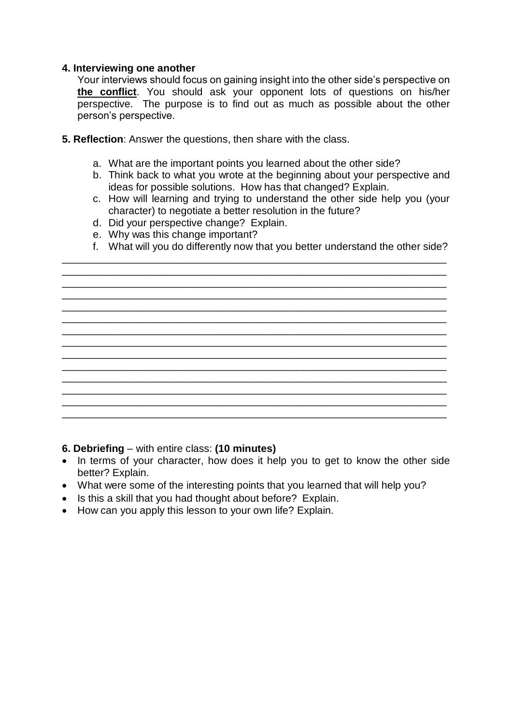### **4. Interviewing one another**

Your interviews should focus on gaining insight into the other side's perspective on **the conflict**. You should ask your opponent lots of questions on his/her perspective. The purpose is to find out as much as possible about the other person's perspective.

- **5. Reflection**: Answer the questions, then share with the class.
	- a. What are the important points you learned about the other side?
	- b. Think back to what you wrote at the beginning about your perspective and ideas for possible solutions. How has that changed? Explain.
	- c. How will learning and trying to understand the other side help you (your character) to negotiate a better resolution in the future?
	- d. Did your perspective change? Explain.
	- e. Why was this change important?
	- f. What will you do differently now that you better understand the other side?

\_\_\_\_\_\_\_\_\_\_\_\_\_\_\_\_\_\_\_\_\_\_\_\_\_\_\_\_\_\_\_\_\_\_\_\_\_\_\_\_\_\_\_\_\_\_\_\_\_\_\_\_\_\_\_\_\_\_\_\_\_\_\_\_\_\_\_ \_\_\_\_\_\_\_\_\_\_\_\_\_\_\_\_\_\_\_\_\_\_\_\_\_\_\_\_\_\_\_\_\_\_\_\_\_\_\_\_\_\_\_\_\_\_\_\_\_\_\_\_\_\_\_\_\_\_\_\_\_\_\_\_\_\_\_ \_\_\_\_\_\_\_\_\_\_\_\_\_\_\_\_\_\_\_\_\_\_\_\_\_\_\_\_\_\_\_\_\_\_\_\_\_\_\_\_\_\_\_\_\_\_\_\_\_\_\_\_\_\_\_\_\_\_\_\_\_\_\_\_\_\_\_

\_\_\_\_\_\_\_\_\_\_\_\_\_\_\_\_\_\_\_\_\_\_\_\_\_\_\_\_\_\_\_\_\_\_\_\_\_\_\_\_\_\_\_\_\_\_\_\_\_\_\_\_\_\_\_\_\_\_\_\_\_\_\_\_\_\_\_ \_\_\_\_\_\_\_\_\_\_\_\_\_\_\_\_\_\_\_\_\_\_\_\_\_\_\_\_\_\_\_\_\_\_\_\_\_\_\_\_\_\_\_\_\_\_\_\_\_\_\_\_\_\_\_\_\_\_\_\_\_\_\_\_\_\_\_ \_\_\_\_\_\_\_\_\_\_\_\_\_\_\_\_\_\_\_\_\_\_\_\_\_\_\_\_\_\_\_\_\_\_\_\_\_\_\_\_\_\_\_\_\_\_\_\_\_\_\_\_\_\_\_\_\_\_\_\_\_\_\_\_\_\_\_ \_\_\_\_\_\_\_\_\_\_\_\_\_\_\_\_\_\_\_\_\_\_\_\_\_\_\_\_\_\_\_\_\_\_\_\_\_\_\_\_\_\_\_\_\_\_\_\_\_\_\_\_\_\_\_\_\_\_\_\_\_\_\_\_\_\_\_ \_\_\_\_\_\_\_\_\_\_\_\_\_\_\_\_\_\_\_\_\_\_\_\_\_\_\_\_\_\_\_\_\_\_\_\_\_\_\_\_\_\_\_\_\_\_\_\_\_\_\_\_\_\_\_\_\_\_\_\_\_\_\_\_\_\_\_ \_\_\_\_\_\_\_\_\_\_\_\_\_\_\_\_\_\_\_\_\_\_\_\_\_\_\_\_\_\_\_\_\_\_\_\_\_\_\_\_\_\_\_\_\_\_\_\_\_\_\_\_\_\_\_\_\_\_\_\_\_\_\_\_\_\_\_ \_\_\_\_\_\_\_\_\_\_\_\_\_\_\_\_\_\_\_\_\_\_\_\_\_\_\_\_\_\_\_\_\_\_\_\_\_\_\_\_\_\_\_\_\_\_\_\_\_\_\_\_\_\_\_\_\_\_\_\_\_\_\_\_\_\_\_ \_\_\_\_\_\_\_\_\_\_\_\_\_\_\_\_\_\_\_\_\_\_\_\_\_\_\_\_\_\_\_\_\_\_\_\_\_\_\_\_\_\_\_\_\_\_\_\_\_\_\_\_\_\_\_\_\_\_\_\_\_\_\_\_\_\_\_ \_\_\_\_\_\_\_\_\_\_\_\_\_\_\_\_\_\_\_\_\_\_\_\_\_\_\_\_\_\_\_\_\_\_\_\_\_\_\_\_\_\_\_\_\_\_\_\_\_\_\_\_\_\_\_\_\_\_\_\_\_\_\_\_\_\_\_ \_\_\_\_\_\_\_\_\_\_\_\_\_\_\_\_\_\_\_\_\_\_\_\_\_\_\_\_\_\_\_\_\_\_\_\_\_\_\_\_\_\_\_\_\_\_\_\_\_\_\_\_\_\_\_\_\_\_\_\_\_\_\_\_\_\_\_

#### **6. Debriefing** – with entire class: **(10 minutes)**

- In terms of your character, how does it help you to get to know the other side better? Explain.
- What were some of the interesting points that you learned that will help you?
- Is this a skill that you had thought about before? Explain.
- How can you apply this lesson to your own life? Explain.